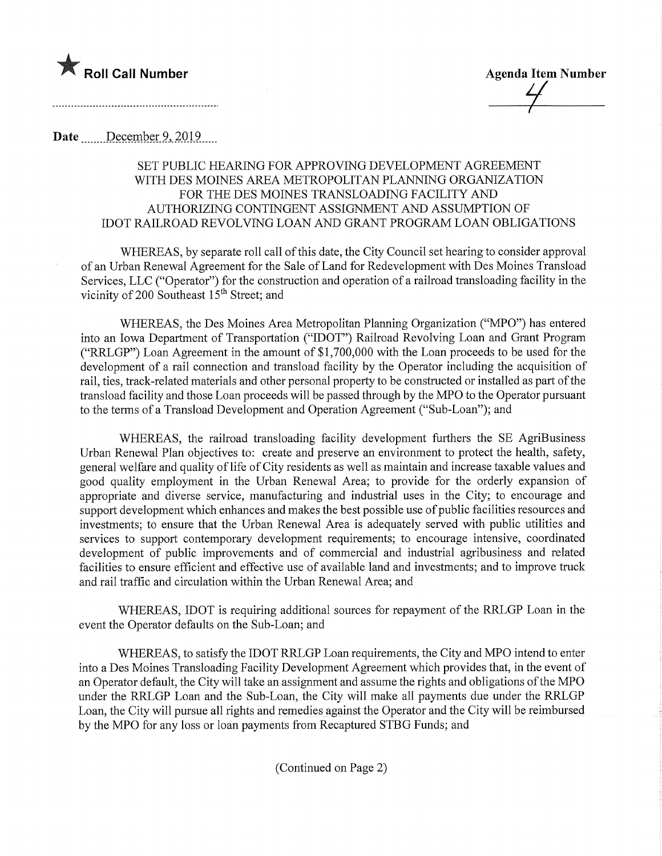Roll Call Number Agenda Item Number

 $\frac{1}{\sqrt{2}}$ 

Date December 9, 2019

## SET PUBLIC HEARING FOR APPROVING DEVELOPMENT AGREEMENT WITH DES MOINES AREA METROPOLITAN PLANNING ORGANIZATION FOR THE DES MOINES TRANSLOADING FACILITY AND AUTHORIZING CONTINGENT ASSIGNMENT AND ASSUMPTION OF IDOT RAILROAD REVOLVING LOAN AND GRANT PROGRAM LOAN OBLIGATIONS

WHEREAS, by separate roll call of this date, the City Council set hearing to consider approval of an Urban Renewal Agreement for the Sale of Land for Redevelopment with Des Moines Transload Services, LLC ("Operator") for the construction and operation of a railroad transloading facility in the vicinity of 200 Southeast 15<sup>th</sup> Street; and

WHEREAS, the Des Moines Area Metropolitan Planning Organization ("MPO") has entered into an Iowa Department of Transportation ("IDOT") Railroad Revolving Loan and Grant Program ("RRLGP") Loan Agreement in the amount of \$1,700,000 with the Loan proceeds to be used for the development of a rail connection and transload facility by the Operator including the acquisition of rail, ties, track-related materials and other personal property to be constructed or installed as part of the transload facility and those Loan proceeds will be passed through by the MPO to the Operator pursuant to the terms of a Transload Development and Operation Agreement ("Sub-Loan"); and

WHEREAS, the railroad transloading facility development furthers the SE AgriBusiness Urban Renewal Plan objectives to: create and preserve an environment to protect the health, safety, general welfare and quality of life of City residents as well as maintain and increase taxable values and good quality employment in the Urban Renewal Area; to provide for the orderly expansion of appropriate and diverse service, manufacturing and industrial uses in the City; to encourage and support development which enhances and makes the best possible use of public facilities resources and investments; to ensure that the Urban Renewal Area is adequately served with public utilities and services to support contemporary development requirements; to encourage intensive, coordinated development of public improvements and of commercial and industrial agribusiness and related facilities to ensure efficient and effective use of available land and investments; and to improve truck and rail traffic and circulation within the Urban Renewal Area; and

WHEREAS, IDOT is requiring additional sources for repayment of the RKLGP Loan in the event the Operator defaults on the Sub-Loan; and

WHEREAS, to satisfy the IDOT RRLGP Loan requirements, the City and MPO intend to enter into a Des Moines Transloading Facility Development Agreement which provides that, in the event of an Operator default, the City will take an assignment and assume the rights and obligations of the MPO under the RRLGP Loan and the Sub-Loan, the City will make all payments due under the RRLGP Loan, the City will pursue all rights and remedies against the Operator and the City will be reimbursed by the MPO for any loss or loan payments from Recaptured STBG Funds; and